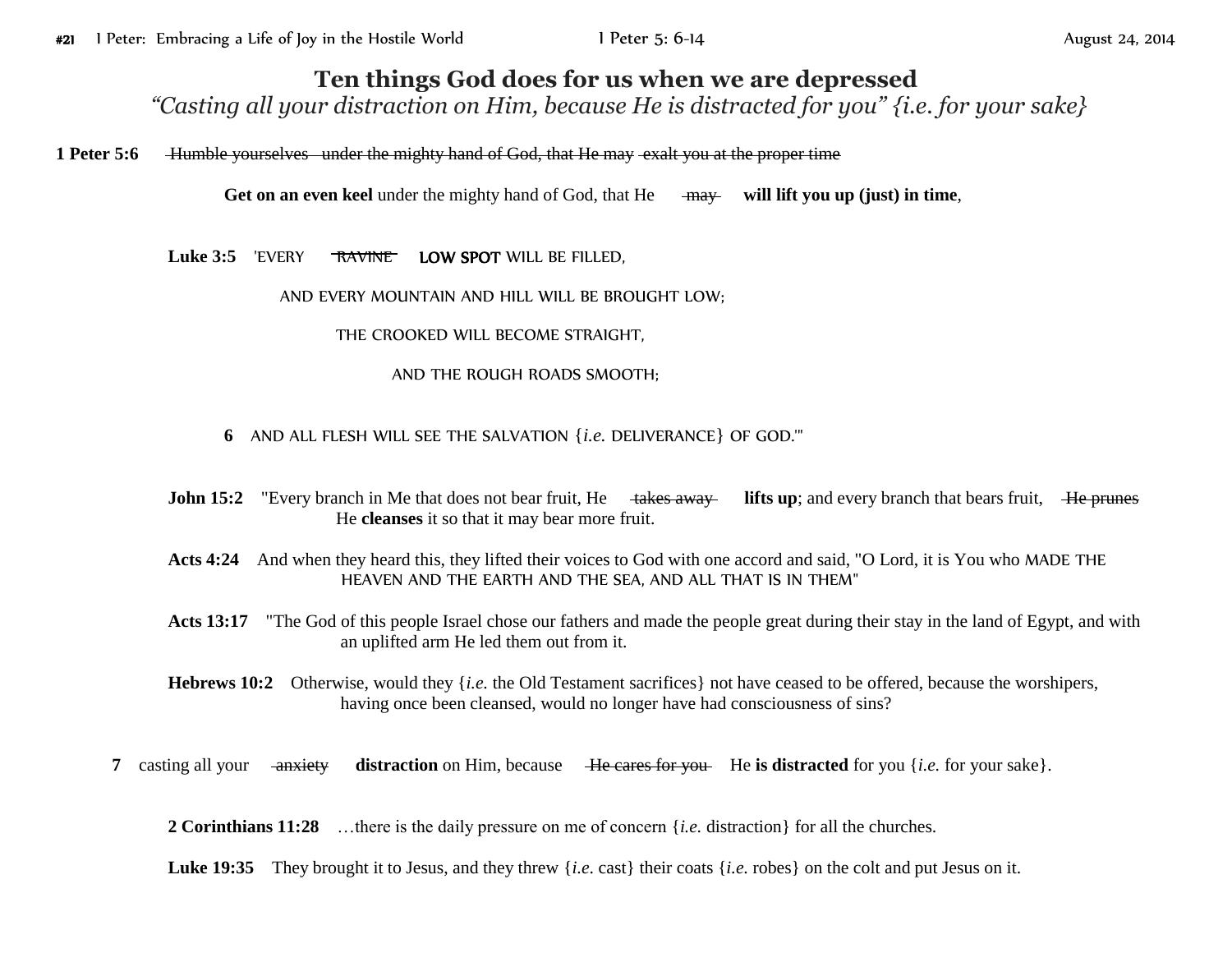## **Ten things God does for us when we are depressed**

*"Casting all your distraction on Him, because He is distracted for you" {i.e. for your sake}*

**1 Peter 5:6** Humble yourselvesunder the mighty hand of God, that He may exalt you at the proper time

**Get on an even keel** under the mighty hand of God, that He may **will lift you up (just) in time**,

Luke 3:5 'EVERY RAVINE LOW SPOT WILL BE FILLED,

AND EVERY MOUNTAIN AND HILL WILL BE BROUGHT LOW;

THE CROOKED WILL BECOME STRAIGHT,

AND THE ROUGH ROADS SMOOTH;

- **6** AND ALL FLESH WILL SEE THE SALVATION {*i.e.* DELIVERANCE} OF GOD.'"
- **John 15:2** "Every branch in Me that does not bear fruit, He takes away lifts up; and every branch that bears fruit, He prunes He **cleanses** it so that it may bear more fruit.
- **Acts 4:24** And when they heard this, they lifted their voices to God with one accord and said, "O Lord, it is You who MADE THE HEAVEN AND THE EARTH AND THE SEA, AND ALL THAT IS IN THEM"
- Acts 13:17 "The God of this people Israel chose our fathers and made the people great during their stay in the land of Egypt, and with an uplifted arm He led them out from it.
- **Hebrews 10:2** Otherwise, would they {*i.e.* the Old Testament sacrifices} not have ceased to be offered, because the worshipers, having once been cleansed, would no longer have had consciousness of sins?
- **7** casting all your <del>anxiety</del> distraction on Him, because He cares for you. He is distracted for you {*i.e.* for your sake}.

**2 Corinthians 11:28** …there is the daily pressure on me of concern {*i.e.* distraction} for all the churches.

Luke 19:35 They brought it to Jesus, and they threw {*i.e.* cast} their coats {*i.e.* robes} on the colt and put Jesus on it.